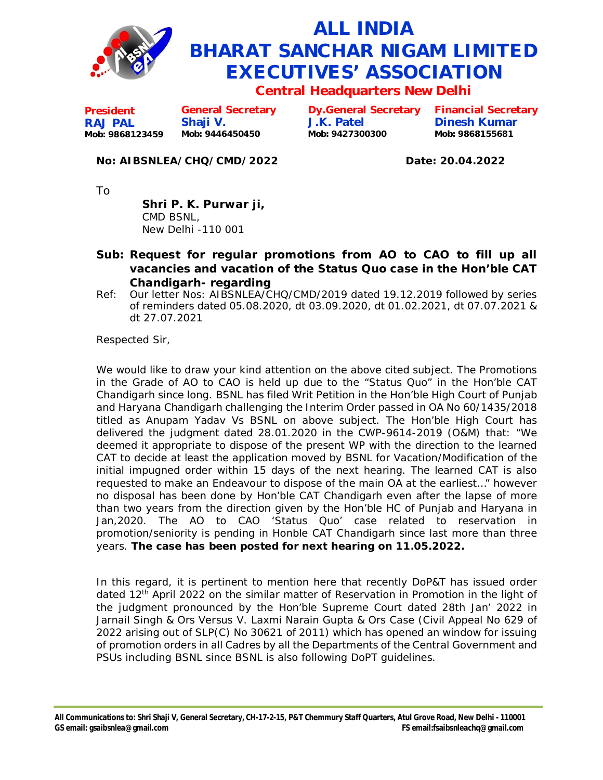

## **ALL INDIA BHARAT SANCHAR NIGAM LIMITED EXECUTIVES' ASSOCIATION**

**Central Headquarters New Delhi**

**President RAJ PAL Mob: 9868123459 General Secretary Shaji V. Mob: 9446450450**

**Dy.General Secretary J.K. Patel Mob: 9427300300**

**Financial Secretary Dinesh Kumar Mob: 9868155681**

## **No: AIBSNLEA/CHQ/CMD/2022 Date: 20.04.2022**

To

**Shri P. K. Purwar ji,** CMD BSNL, New Delhi -110 001

- **Sub: Request for regular promotions from AO to CAO to fill up all vacancies and vacation of the Status Quo case in the Hon'ble CAT Chandigarh- regarding**
- Ref: Our letter Nos: AIBSNLEA/CHQ/CMD/2019 dated 19.12.2019 followed by series of reminders dated 05.08.2020, dt 03.09.2020, dt 01.02.2021, dt 07.07.2021 & dt 27.07.2021

Respected Sir,

We would like to draw your kind attention on the above cited subject. The Promotions in the Grade of AO to CAO is held up due to the "Status Quo" in the Hon'ble CAT Chandigarh since long. BSNL has filed Writ Petition in the Hon'ble High Court of Punjab and Haryana Chandigarh challenging the Interim Order passed in OA No 60/1435/2018 titled as Anupam Yadav Vs BSNL on above subject. The Hon'ble High Court has delivered the judgment dated 28.01.2020 in the CWP-9614-2019 (O&M) that: *"We deemed it appropriate to dispose of the present WP with the direction to the learned CAT to decide at least the application moved by BSNL for Vacation/Modification of the initial impugned order within 15 days of the next hearing. The learned CAT is also requested to make an Endeavour to dispose of the main OA at the earliest…"* however no disposal has been done by Hon'ble CAT Chandigarh even after the lapse of more than two years from the direction given by the Hon'ble HC of Punjab and Haryana in Jan,2020. The AO to CAO 'Status Quo' case related to reservation in promotion/seniority is pending in Honble CAT Chandigarh since last more than three years. **The case has been posted for next hearing on 11.05.2022.**

In this regard, it is pertinent to mention here that recently DoP&T has issued order dated  $12<sup>th</sup>$  April 2022 on the similar matter of Reservation in Promotion in the light of the judgment pronounced by the Hon'ble Supreme Court dated 28th Jan' 2022 in Jarnail Singh & Ors Versus V. Laxmi Narain Gupta & Ors Case (Civil Appeal No 629 of 2022 arising out of SLP(C) No 30621 of 2011) which has opened an window for issuing of promotion orders in all Cadres by all the Departments of the Central Government and PSUs including BSNL since BSNL is also following DoPT guidelines.

**All Communications to: Shri Shaji V, General Secretary, CH-17-2-15, P&T Chemmury Staff Quarters, Atul Grove Road, New Delhi - 110001 GS email: [gsaibsnlea@gmail.com](mailto:gsaibsnlea@gmail.com) FS [email:fsaibsnleachq@gmail.com](mailto:email:fsaibsnleachq@gmail.com)**